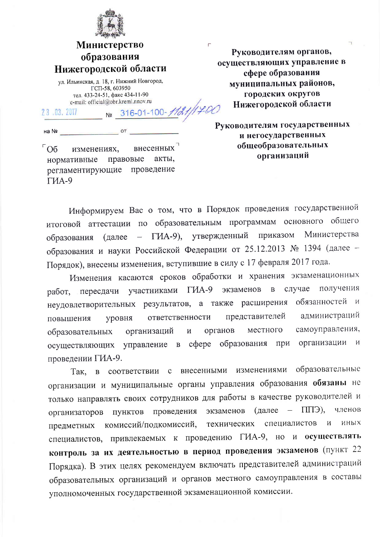

## **Министерство** образования Нижегородской области

ул. Ильинская, д. 18, г. Нижний Новгород, ГСП-58, 603950 тел. 433-24-51, факс 434-11-90 e-mail: official@obr.kreml.nnov.ru  $-$  Nº 316-01-100-1121/1700

23.03.2017

 $\overline{\phantom{a}}$  ot на Nº

 $\sqrt{6}$ внесенных изменениях, правовые нормативные акты. проведение регламентирующие  $\Gamma$ *MA-9* 

Руководителям органов, осуществляющих управление в сфере образования муниципальных районов, городских округов Нижегородской области

Руководителям государственных и негосударственных общеобразовательных организаций

Информируем Вас о том, что в Порядок проведения государственной итоговой аттестации по образовательным программам основного общего Министерства ГИА-9), утвержденный приказом (далее  $\frac{1}{2}$ образования образования и науки Российской Федерации от 25.12.2013 № 1394 (далее -Порядок), внесены изменения, вступившие в силу с 17 февраля 2017 года.

Изменения касаются сроков обработки и хранения экзаменационных случае участниками ГИА-9  $\overline{B}$ получения экзаменов работ, пересдачи неудовлетворительных результатов, а также расширения обязанностей и администраций ответственности представителей повышения уровня самоуправления, органов местного организаций  $\overline{\text{M}}$ образовательных осуществляющих управление в сфере образования при организации и проведении ГИА-9.

в соответствии с внесенными изменениями образовательные Так. организации и муниципальные органы управления образования обязаны не только направлять своих сотрудников для работы в качестве руководителей и  $(a)$ далее —  $\Pi$  $\Pi$  $\exists$ ). членов пунктов проведения экзаменов организаторов специалистов  $\overline{M}$ технических иных комиссий/подкомиссий, предметных специалистов, привлекаемых к проведению ГИА-9, но и осуществлять контроль за их деятельностью в период проведения экзаменов (пункт 22 Порядка). В этих целях рекомендуем включать представителей администраций образовательных организаций и органов местного самоуправления в составы уполномоченных государственной экзаменационной комиссии.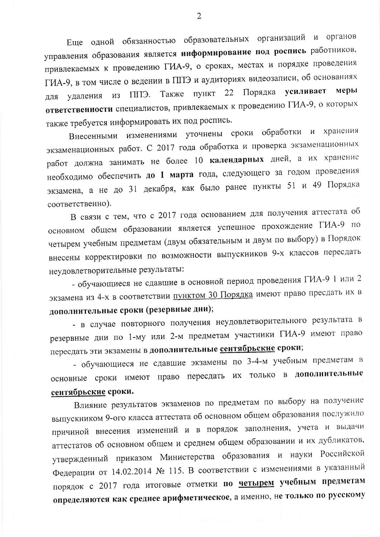Еще одной обязанностью образовательных организаций и органов управления образования является информирование под роспись работников, привлекаемых к проведению ГИА-9, о сроках, местах и порядке проведения ГИА-9, в том числе о ведении в ППЭ и аудиториях видеозаписи, об основаниях Порядка усиливает меры ППЭ. Также пункт 22 для удаления из ответственности специалистов, привлекаемых к проведению ГИА-9, о которых также требуется информировать их под роспись.

Внесенными изменениями уточнены сроки обработки хранения  $\mathbf{M}$ экзаменационных работ. С 2017 года обработка и проверка экзаменационных работ должна занимать не более 10 календарных дней, а их хранение необходимо обеспечить до 1 марта года, следующего за годом проведения экзамена, а не до 31 декабря, как было ранее пункты 51 и 49 Порядка соответственно).

В связи с тем, что с 2017 года основанием для получения аттестата об основном общем образовании является успешное прохождение ГИА-9 по четырем учебным предметам (двум обязательным и двум по выбору) в Порядок внесены корректировки по возможности выпускников 9-х классов пересдать неудовлетворительные результаты:

- обучающиеся не сдавшие в основной период проведения ГИА-9 1 или 2 экзамена из 4-х в соответствии пунктом 30 Порядка имеют право пресдать их в дополнительные сроки (резервные дни);

- в случае повторного получения неудовлетворительного результата в резервные дни по 1-му или 2-м предметам участники ГИА-9 имеют право пересдать эти экзамены в дополнительные сентябрьские сроки;

- обучающиеся не сдавшие экзамены по 3-4-м учебным предметам в основные сроки имеют право пересдать их только в дополнительные сентябрьские сроки.

Влияние результатов экзаменов по предметам по выбору на получение выпускником 9-ого класса аттестата об основном общем образования послужило причиной внесения изменений и в порядок заполнения, учета и выдачи аттестатов об основном общем и среднем общем образовании и их дубликатов, утвержденный приказом Министерства образования и науки Российской Федерации от 14.02.2014 № 115. В соответствии с изменениями в указанный порядок с 2017 года итоговые отметки по четырем учебным предметам определяются как среднее арифметическое, а именно, не только по русскому

 $\overline{2}$